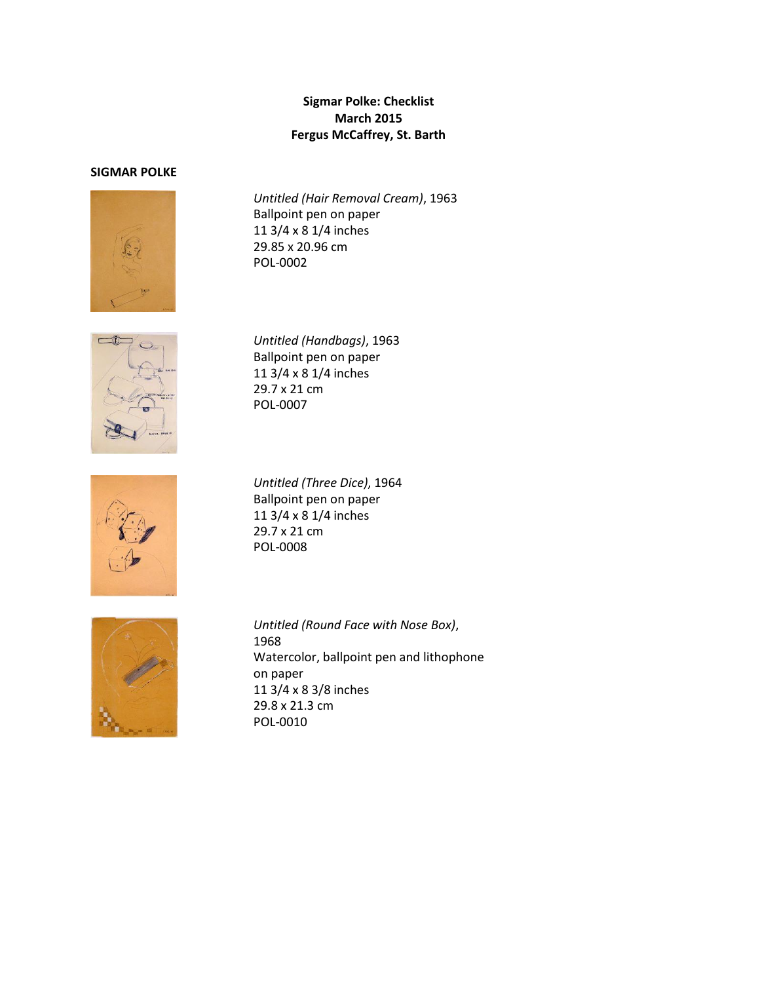## **Sigmar Polke: Checklist March 2015 Fergus McCaffrey, St. Barth**

## **SIGMAR POLKE**



*Untitled (Hair Removal Cream)*, 1963 Ballpoint pen on paper 11 3/4 x 8 1/4 inches 29.85 x 20.96 cm POL-0002



*Untitled (Handbags)*, 1963 Ballpoint pen on paper 11 3/4 x 8 1/4 inches 29.7 x 21 cm POL-0007



*Untitled (Three Dice)*, 1964 Ballpoint pen on paper 11 3/4 x 8 1/4 inches 29.7 x 21 cm POL-0008



*Untitled (Round Face with Nose Box)*, 1968 Watercolor, ballpoint pen and lithophone on paper 11 3/4 x 8 3/8 inches 29.8 x 21.3 cm POL-0010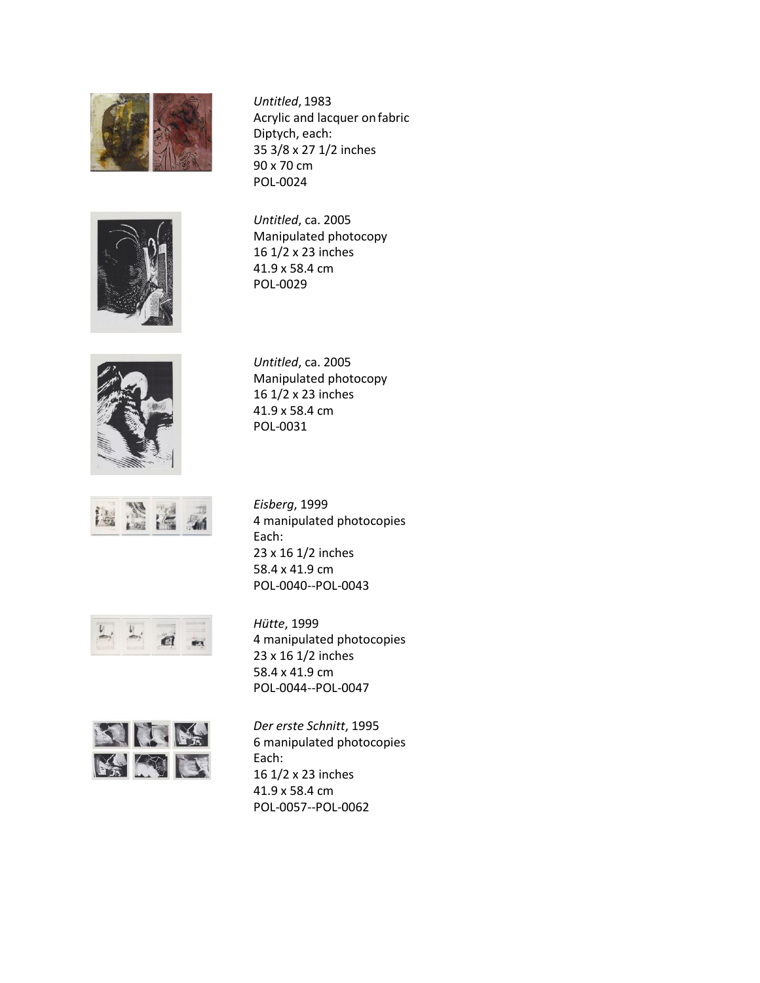

*Untitled*, 1983 Acrylic and lacquer onfabric Diptych, each: 35 3/8 x 27 1/2 inches 90 x 70 cm POL-0024



*Untitled*, ca. 2005 Manipulated photocopy 16 1/2 x 23 inches 41.9 x 58.4 cm POL-0029



*Untitled*, ca. 2005 Manipulated photocopy 16 1/2 x 23 inches 41.9 x 58.4 cm POL-0031



*Eisberg*, 1999 4 manipulated photocopies Each: 23 x 16 1/2 inches 58.4 x 41.9 cm POL-0040--POL-0043



*Hütte*, 1999 4 manipulated photocopies 23 x 16 1/2 inches 58.4 x 41.9 cm POL-0044--POL-0047



*Der erste Schnitt*, 1995 6 manipulated photocopies Each: 16 1/2 x 23 inches 41.9 x 58.4 cm POL-0057--POL-0062